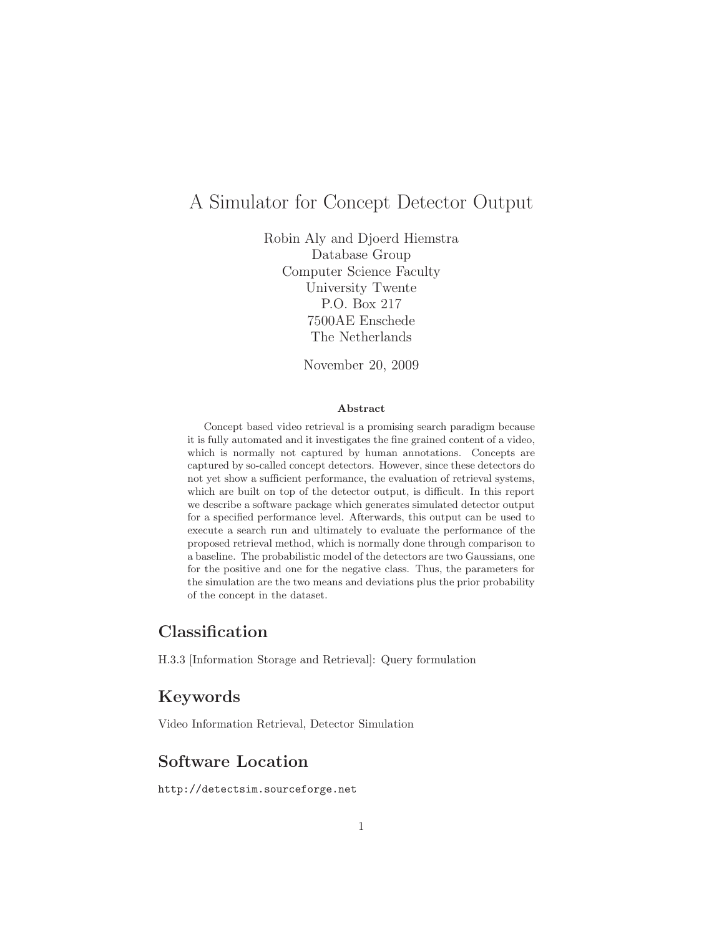# A Simulator for Concept Detector Output

Robin Aly and Djoerd Hiemstra Database Group Computer Science Faculty University Twente P.O. Box 217 7500AE Enschede The Netherlands

November 20, 2009

#### Abstract

Concept based video retrieval is a promising search paradigm because it is fully automated and it investigates the fine grained content of a video, which is normally not captured by human annotations. Concepts are captured by so-called concept detectors. However, since these detectors do not yet show a sufficient performance, the evaluation of retrieval systems, which are built on top of the detector output, is difficult. In this report we describe a software package which generates simulated detector output for a specified performance level. Afterwards, this output can be used to execute a search run and ultimately to evaluate the performance of the proposed retrieval method, which is normally done through comparison to a baseline. The probabilistic model of the detectors are two Gaussians, one for the positive and one for the negative class. Thus, the parameters for the simulation are the two means and deviations plus the prior probability of the concept in the dataset.

# Classification

H.3.3 [Information Storage and Retrieval]: Query formulation

# Keywords

Video Information Retrieval, Detector Simulation

# Software Location

http://detectsim.sourceforge.net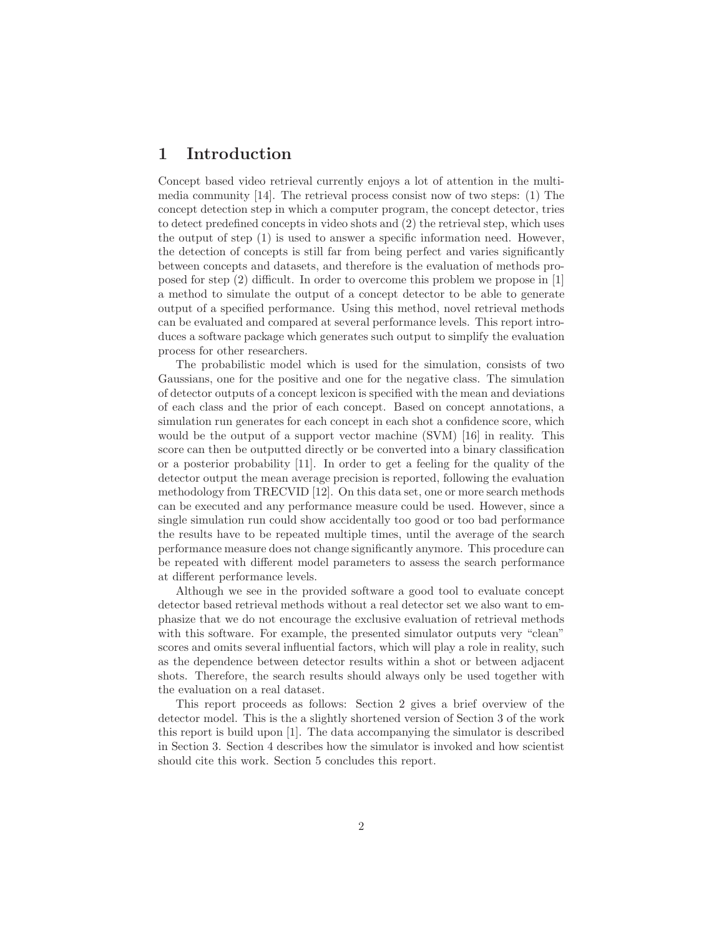### 1 Introduction

Concept based video retrieval currently enjoys a lot of attention in the multimedia community [14]. The retrieval process consist now of two steps: (1) The concept detection step in which a computer program, the concept detector, tries to detect predefined concepts in video shots and (2) the retrieval step, which uses the output of step (1) is used to answer a specific information need. However, the detection of concepts is still far from being perfect and varies significantly between concepts and datasets, and therefore is the evaluation of methods proposed for step (2) difficult. In order to overcome this problem we propose in [1] a method to simulate the output of a concept detector to be able to generate output of a specified performance. Using this method, novel retrieval methods can be evaluated and compared at several performance levels. This report introduces a software package which generates such output to simplify the evaluation process for other researchers.

The probabilistic model which is used for the simulation, consists of two Gaussians, one for the positive and one for the negative class. The simulation of detector outputs of a concept lexicon is specified with the mean and deviations of each class and the prior of each concept. Based on concept annotations, a simulation run generates for each concept in each shot a confidence score, which would be the output of a support vector machine (SVM) [16] in reality. This score can then be outputted directly or be converted into a binary classification or a posterior probability [11]. In order to get a feeling for the quality of the detector output the mean average precision is reported, following the evaluation methodology from TRECVID [12]. On this data set, one or more search methods can be executed and any performance measure could be used. However, since a single simulation run could show accidentally too good or too bad performance the results have to be repeated multiple times, until the average of the search performance measure does not change significantly anymore. This procedure can be repeated with different model parameters to assess the search performance at different performance levels.

Although we see in the provided software a good tool to evaluate concept detector based retrieval methods without a real detector set we also want to emphasize that we do not encourage the exclusive evaluation of retrieval methods with this software. For example, the presented simulator outputs very "clean" scores and omits several influential factors, which will play a role in reality, such as the dependence between detector results within a shot or between adjacent shots. Therefore, the search results should always only be used together with the evaluation on a real dataset.

This report proceeds as follows: Section 2 gives a brief overview of the detector model. This is the a slightly shortened version of Section 3 of the work this report is build upon [1]. The data accompanying the simulator is described in Section 3. Section 4 describes how the simulator is invoked and how scientist should cite this work. Section 5 concludes this report.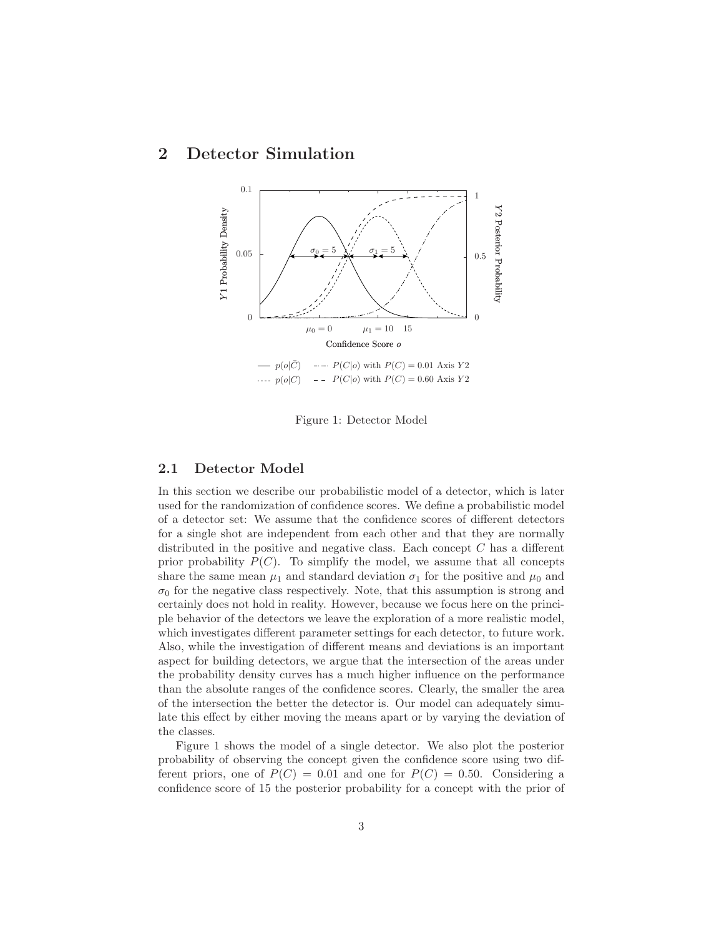## 2 Detector Simulation



Figure 1: Detector Model

### 2.1 Detector Model

In this section we describe our probabilistic model of a detector, which is later used for the randomization of confidence scores. We define a probabilistic model of a detector set: We assume that the confidence scores of different detectors for a single shot are independent from each other and that they are normally distributed in the positive and negative class. Each concept C has a different prior probability  $P(C)$ . To simplify the model, we assume that all concepts share the same mean  $\mu_1$  and standard deviation  $\sigma_1$  for the positive and  $\mu_0$  and  $\sigma_0$  for the negative class respectively. Note, that this assumption is strong and certainly does not hold in reality. However, because we focus here on the principle behavior of the detectors we leave the exploration of a more realistic model, which investigates different parameter settings for each detector, to future work. Also, while the investigation of different means and deviations is an important aspect for building detectors, we argue that the intersection of the areas under the probability density curves has a much higher influence on the performance than the absolute ranges of the confidence scores. Clearly, the smaller the area of the intersection the better the detector is. Our model can adequately simulate this effect by either moving the means apart or by varying the deviation of the classes.

Figure 1 shows the model of a single detector. We also plot the posterior probability of observing the concept given the confidence score using two different priors, one of  $P(C) = 0.01$  and one for  $P(C) = 0.50$ . Considering a confidence score of 15 the posterior probability for a concept with the prior of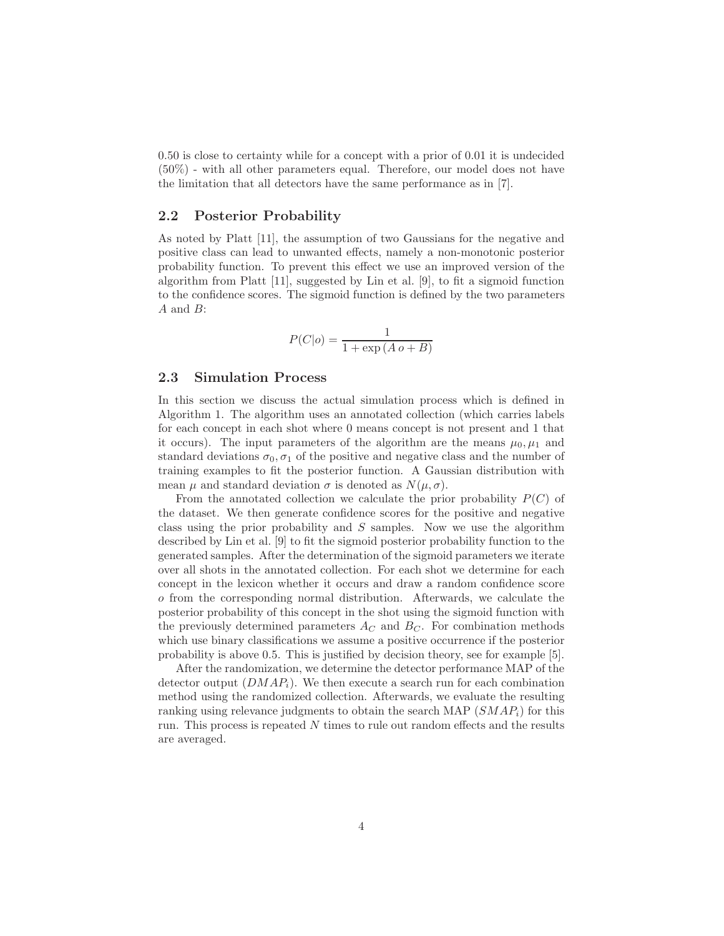0.50 is close to certainty while for a concept with a prior of 0.01 it is undecided (50%) - with all other parameters equal. Therefore, our model does not have the limitation that all detectors have the same performance as in [7].

#### 2.2 Posterior Probability

As noted by Platt [11], the assumption of two Gaussians for the negative and positive class can lead to unwanted effects, namely a non-monotonic posterior probability function. To prevent this effect we use an improved version of the algorithm from Platt [11], suggested by Lin et al. [9], to fit a sigmoid function to the confidence scores. The sigmoid function is defined by the two parameters A and B:

$$
P(C|o) = \frac{1}{1 + \exp\left(A o + B\right)}
$$

#### 2.3 Simulation Process

In this section we discuss the actual simulation process which is defined in Algorithm 1. The algorithm uses an annotated collection (which carries labels for each concept in each shot where 0 means concept is not present and 1 that it occurs). The input parameters of the algorithm are the means  $\mu_0, \mu_1$  and standard deviations  $\sigma_0$ ,  $\sigma_1$  of the positive and negative class and the number of training examples to fit the posterior function. A Gaussian distribution with mean  $\mu$  and standard deviation  $\sigma$  is denoted as  $N(\mu, \sigma)$ .

From the annotated collection we calculate the prior probability  $P(C)$  of the dataset. We then generate confidence scores for the positive and negative class using the prior probability and  $S$  samples. Now we use the algorithm described by Lin et al. [9] to fit the sigmoid posterior probability function to the generated samples. After the determination of the sigmoid parameters we iterate over all shots in the annotated collection. For each shot we determine for each concept in the lexicon whether it occurs and draw a random confidence score o from the corresponding normal distribution. Afterwards, we calculate the posterior probability of this concept in the shot using the sigmoid function with the previously determined parameters  $A_C$  and  $B_C$ . For combination methods which use binary classifications we assume a positive occurrence if the posterior probability is above 0.5. This is justified by decision theory, see for example [5].

After the randomization, we determine the detector performance MAP of the detector output  $(DMAP_i)$ . We then execute a search run for each combination method using the randomized collection. Afterwards, we evaluate the resulting ranking using relevance judgments to obtain the search MAP  $(SMAP<sub>i</sub>)$  for this run. This process is repeated N times to rule out random effects and the results are averaged.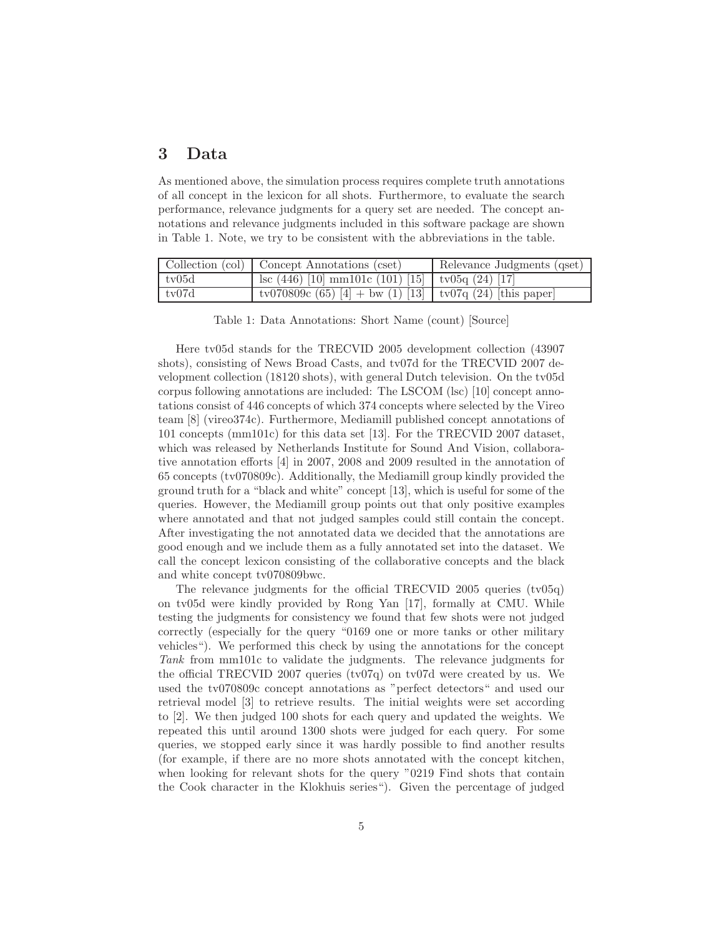## 3 Data

As mentioned above, the simulation process requires complete truth annotations of all concept in the lexicon for all shots. Furthermore, to evaluate the search performance, relevance judgments for a query set are needed. The concept annotations and relevance judgments included in this software package are shown in Table 1. Note, we try to be consistent with the abbreviations in the table.

|       | Collection (col) Concept Annotations (cset)                      | Relevance Judgments (qset) |
|-------|------------------------------------------------------------------|----------------------------|
| tv05d | $\vert$ lsc (446) [10] mm101c (101) [15] $\vert$ tv05q (24) [17] |                            |
| tv07d | tv070809c (65) [4] + bw (1) [13]   tv07q (24) [this paper]       |                            |

Table 1: Data Annotations: Short Name (count) [Source]

Here tv05d stands for the TRECVID 2005 development collection (43907 shots), consisting of News Broad Casts, and tv07d for the TRECVID 2007 development collection (18120 shots), with general Dutch television. On the tv05d corpus following annotations are included: The LSCOM (lsc) [10] concept annotations consist of 446 concepts of which 374 concepts where selected by the Vireo team [8] (vireo374c). Furthermore, Mediamill published concept annotations of 101 concepts (mm101c) for this data set [13]. For the TRECVID 2007 dataset, which was released by Netherlands Institute for Sound And Vision, collaborative annotation efforts [4] in 2007, 2008 and 2009 resulted in the annotation of 65 concepts (tv070809c). Additionally, the Mediamill group kindly provided the ground truth for a "black and white" concept [13], which is useful for some of the queries. However, the Mediamill group points out that only positive examples where annotated and that not judged samples could still contain the concept. After investigating the not annotated data we decided that the annotations are good enough and we include them as a fully annotated set into the dataset. We call the concept lexicon consisting of the collaborative concepts and the black and white concept tv070809bwc.

The relevance judgments for the official TRECVID 2005 queries (tv05q) on tv05d were kindly provided by Rong Yan [17], formally at CMU. While testing the judgments for consistency we found that few shots were not judged correctly (especially for the query "0169 one or more tanks or other military vehicles"). We performed this check by using the annotations for the concept *Tank* from mm101c to validate the judgments. The relevance judgments for the official TRECVID 2007 queries (tv07q) on tv07d were created by us. We used the tv070809c concept annotations as "perfect detectors" and used our retrieval model [3] to retrieve results. The initial weights were set according to [2]. We then judged 100 shots for each query and updated the weights. We repeated this until around 1300 shots were judged for each query. For some queries, we stopped early since it was hardly possible to find another results (for example, if there are no more shots annotated with the concept kitchen, when looking for relevant shots for the query "0219 Find shots that contain the Cook character in the Klokhuis series"). Given the percentage of judged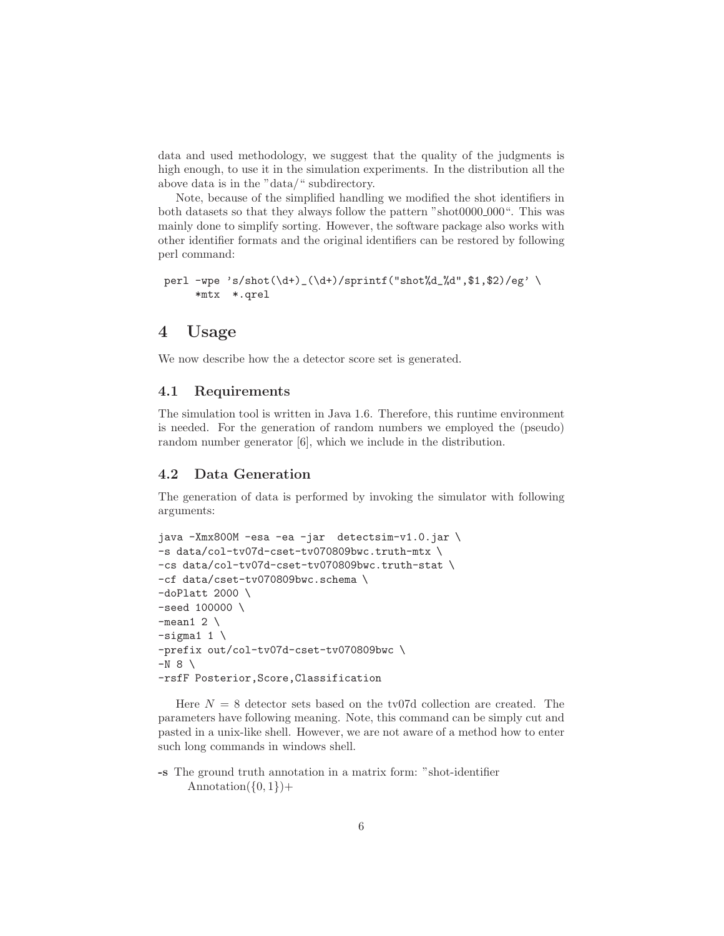data and used methodology, we suggest that the quality of the judgments is high enough, to use it in the simulation experiments. In the distribution all the above data is in the "data/" subdirectory.

Note, because of the simplified handling we modified the shot identifiers in both datasets so that they always follow the pattern "shot0000 000". This was mainly done to simplify sorting. However, the software package also works with other identifier formats and the original identifiers can be restored by following perl command:

```
perl -wpe 's/shot(\d+)_(\d+)/sprintf("shot%d_%d",$1,$2)/eg' \
     *mtx *.qrel
```
### 4 Usage

We now describe how the a detector score set is generated.

#### 4.1 Requirements

The simulation tool is written in Java 1.6. Therefore, this runtime environment is needed. For the generation of random numbers we employed the (pseudo) random number generator [6], which we include in the distribution.

#### 4.2 Data Generation

The generation of data is performed by invoking the simulator with following arguments:

```
java -Xmx800M -esa -ea -jar detectsim-v1.0.jar \
-s data/col-tv07d-cset-tv070809bwc.truth-mtx \
-cs data/col-tv07d-cset-tv070809bwc.truth-stat \
-cf data/cset-tv070809bwc.schema \
-doPlatt 2000 \
-seed 100000 \
-mean1 2 \setminus-sigma1 1 \
-prefix out/col-tv07d-cset-tv070809bwc \
-N 8 \
-rsfF Posterior,Score,Classification
```
Here  $N = 8$  detector sets based on the tv07d collection are created. The parameters have following meaning. Note, this command can be simply cut and pasted in a unix-like shell. However, we are not aware of a method how to enter such long commands in windows shell.

-s The ground truth annotation in a matrix form: "shot-identifier Annotation $(\{0,1\})+$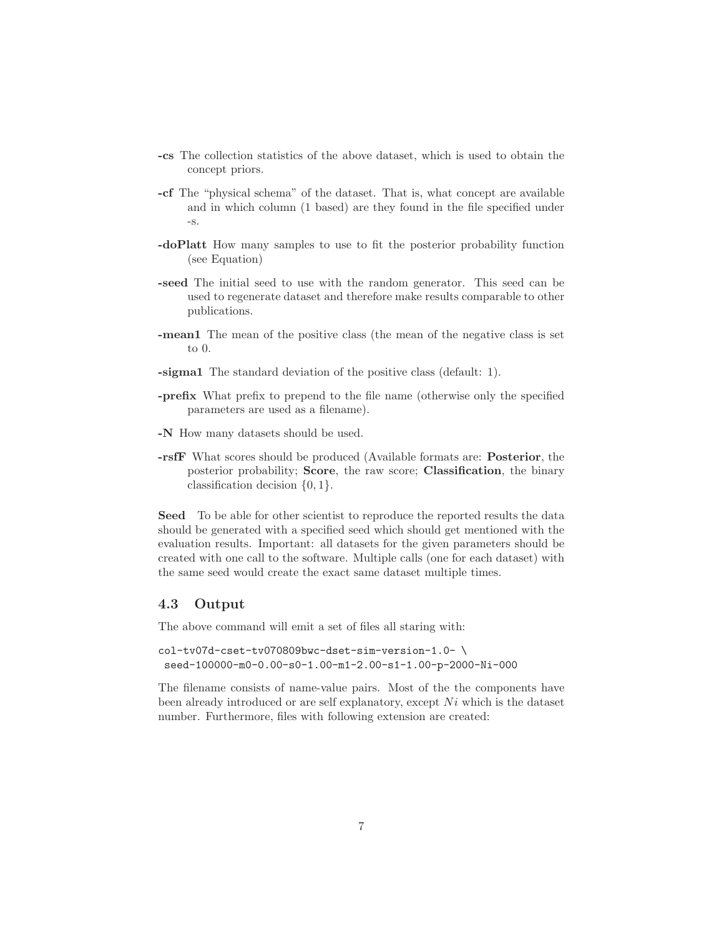- -cs The collection statistics of the above dataset, which is used to obtain the concept priors.
- -cf The "physical schema" of the dataset. That is, what concept are available and in which column (1 based) are they found in the file specified under -s.
- -doPlatt How many samples to use to fit the posterior probability function (see Equation)
- -seed The initial seed to use with the random generator. This seed can be used to regenerate dataset and therefore make results comparable to other publications.
- -mean1 The mean of the positive class (the mean of the negative class is set to 0.
- -sigma1 The standard deviation of the positive class (default: 1).
- -prefix What prefix to prepend to the file name (otherwise only the specified parameters are used as a filename).
- -N How many datasets should be used.
- -rsfF What scores should be produced (Available formats are: Posterior, the posterior probability; Score, the raw score; Classification, the binary classification decision  $\{0, 1\}.$

Seed To be able for other scientist to reproduce the reported results the data should be generated with a specified seed which should get mentioned with the evaluation results. Important: all datasets for the given parameters should be created with one call to the software. Multiple calls (one for each dataset) with the same seed would create the exact same dataset multiple times.

### 4.3 Output

The above command will emit a set of files all staring with:

```
col-tv07d-cset-tv070809bwc-dset-sim-version-1.0- \
 seed-100000-m0-0.00-s0-1.00-m1-2.00-s1-1.00-p-2000-Ni-000
```
The filename consists of name-value pairs. Most of the the components have been already introduced or are self explanatory, except  $Ni$  which is the dataset number. Furthermore, files with following extension are created: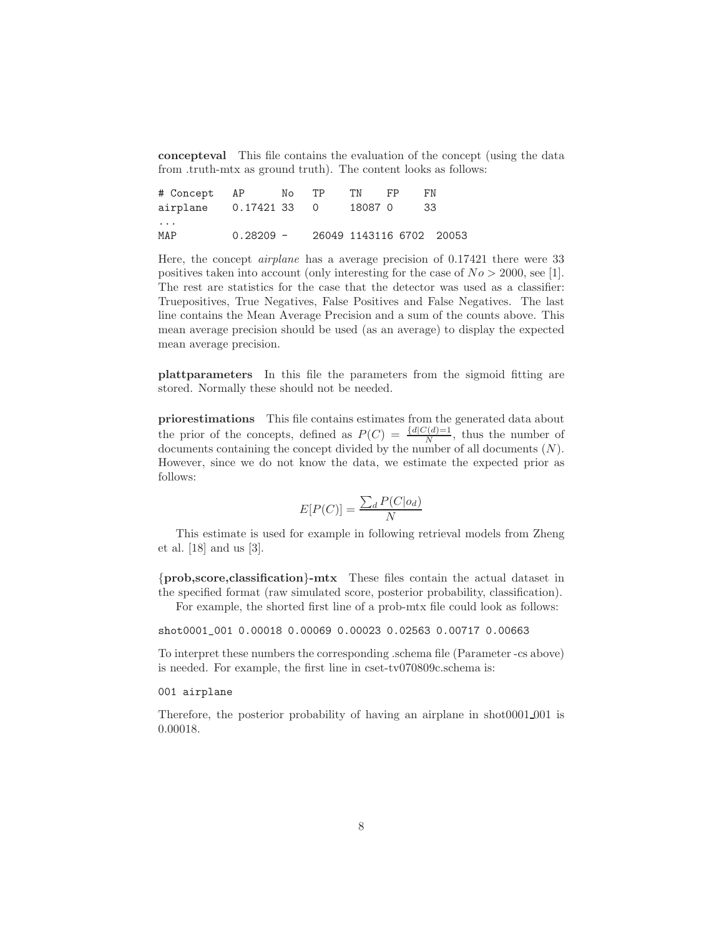concepteval This file contains the evaluation of the concept (using the data from .truth-mtx as ground truth). The content looks as follows:

| # Concept AP          |             | No | TP. | TN      | FP. | FN.                      |
|-----------------------|-------------|----|-----|---------|-----|--------------------------|
| airplane 0.17421 33 0 |             |    |     | 18087 0 |     | 33                       |
| $\cdots$              |             |    |     |         |     |                          |
| MAP                   | $0.28209 -$ |    |     |         |     | 26049 1143116 6702 20053 |

Here, the concept *airplane* has a average precision of 0.17421 there were 33 positives taken into account (only interesting for the case of  $No > 2000$ , see [1]. The rest are statistics for the case that the detector was used as a classifier: Truepositives, True Negatives, False Positives and False Negatives. The last line contains the Mean Average Precision and a sum of the counts above. This mean average precision should be used (as an average) to display the expected mean average precision.

plattparameters In this file the parameters from the sigmoid fitting are stored. Normally these should not be needed.

priorestimations This file contains estimates from the generated data about the prior of the concepts, defined as  $P(C) = \frac{\{d|C(d)=1}{N}}{N}$ , thus the number of documents containing the concept divided by the number of all documents (N). However, since we do not know the data, we estimate the expected prior as follows:

$$
E[P(C)] = \frac{\sum_{d} P(C|o_d)}{N}
$$

This estimate is used for example in following retrieval models from Zheng et al. [18] and us [3].

{prob,score,classification}-mtx These files contain the actual dataset in the specified format (raw simulated score, posterior probability, classification).

For example, the shorted first line of a prob-mtx file could look as follows:

shot0001\_001 0.00018 0.00069 0.00023 0.02563 0.00717 0.00663

To interpret these numbers the corresponding .schema file (Parameter -cs above) is needed. For example, the first line in cset-tv070809c.schema is:

#### 001 airplane

Therefore, the posterior probability of having an airplane in shot0001 001 is 0.00018.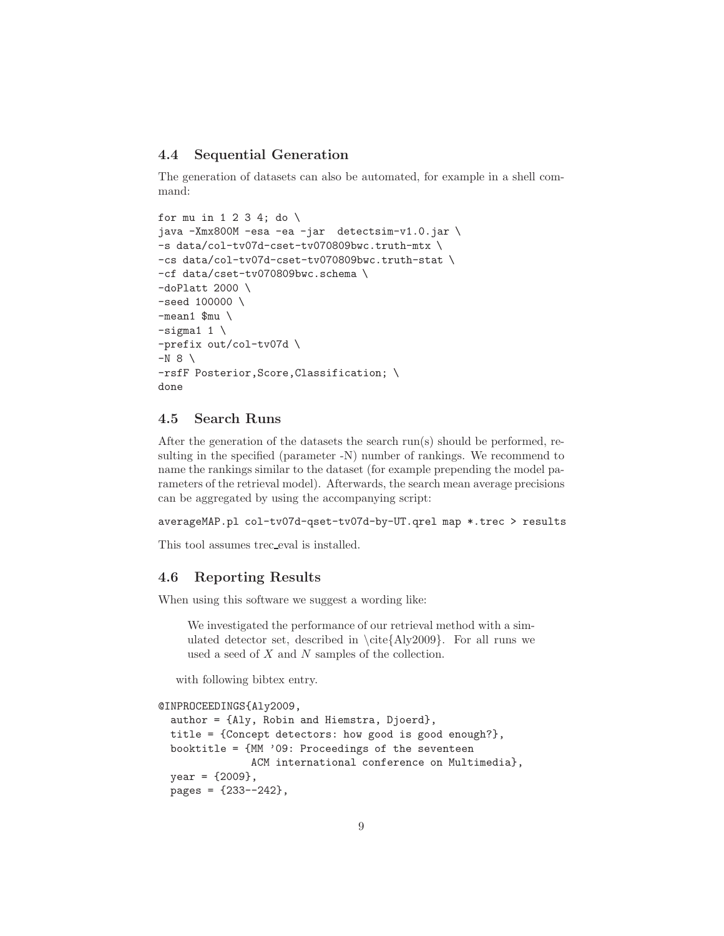### 4.4 Sequential Generation

The generation of datasets can also be automated, for example in a shell command:

```
for mu in 1 2 3 4; do \setminusjava -Xmx800M -esa -ea -jar detectsim-v1.0.jar \
-s data/col-tv07d-cset-tv070809bwc.truth-mtx \
-cs data/col-tv07d-cset-tv070809bwc.truth-stat \
-cf data/cset-tv070809bwc.schema \
-doPlatt 2000
-seed 100000 \
-mean1 \text{\mu}
-sigma1 1 \
-prefix out/col-tv07d \
-N 8 \
-rsfF Posterior,Score,Classification; \
done
```
### 4.5 Search Runs

After the generation of the datasets the search run(s) should be performed, resulting in the specified (parameter -N) number of rankings. We recommend to name the rankings similar to the dataset (for example prepending the model parameters of the retrieval model). Afterwards, the search mean average precisions can be aggregated by using the accompanying script:

```
averageMAP.pl col-tv07d-qset-tv07d-by-UT.qrel map *.trec > results
```
This tool assumes trec eval is installed.

#### 4.6 Reporting Results

When using this software we suggest a wording like:

We investigated the performance of our retrieval method with a simulated detector set, described in  $\ct{Aly2009}$ . For all runs we used a seed of X and N samples of the collection.

with following bibtex entry.

```
@INPROCEEDINGS{Aly2009,
  author = {Aly, Robin and Hiemstra, Djoerd},
 title = {Concept detectors: how good is good enough?},
 booktitle = {MM '09: Proceedings of the seventeen
               ACM international conference on Multimedia},
 year = {2009},
 pages = {233--242},
```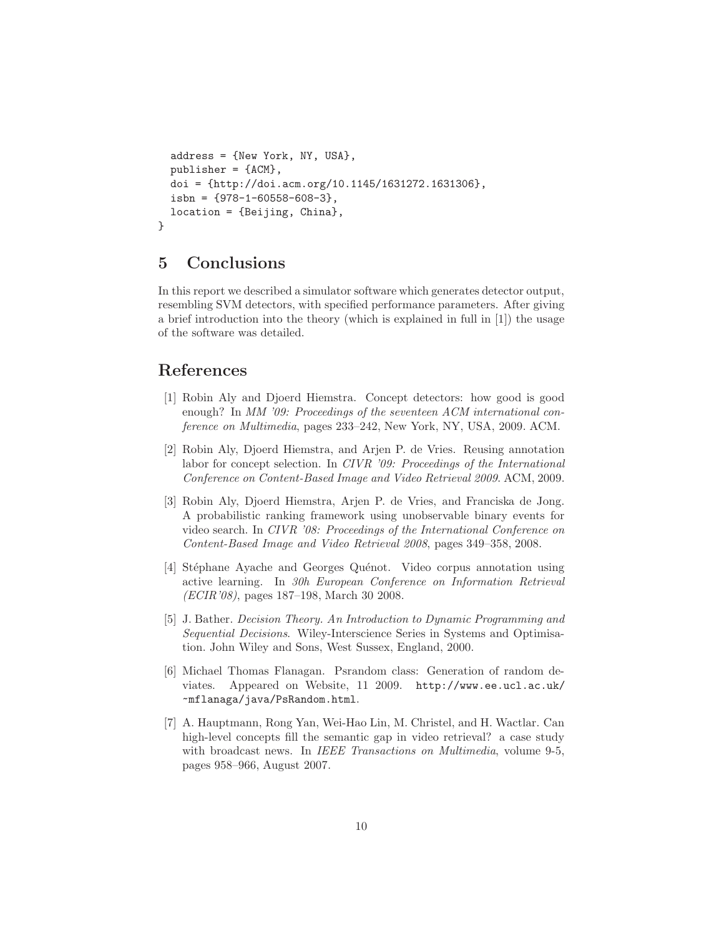```
address = {New York, NY, USA},
 publicer = {ACM},doi = {http://doi.acm.org/10.1145/1631272.1631306},
  isbn = {978-1-60558-608-3},location = {Beijing, China},
}
```
### 5 Conclusions

In this report we described a simulator software which generates detector output, resembling SVM detectors, with specified performance parameters. After giving a brief introduction into the theory (which is explained in full in [1]) the usage of the software was detailed.

# References

- [1] Robin Aly and Djoerd Hiemstra. Concept detectors: how good is good enough? In *MM '09: Proceedings of the seventeen ACM international conference on Multimedia*, pages 233–242, New York, NY, USA, 2009. ACM.
- [2] Robin Aly, Djoerd Hiemstra, and Arjen P. de Vries. Reusing annotation labor for concept selection. In *CIVR '09: Proceedings of the International Conference on Content-Based Image and Video Retrieval 2009*. ACM, 2009.
- [3] Robin Aly, Djoerd Hiemstra, Arjen P. de Vries, and Franciska de Jong. A probabilistic ranking framework using unobservable binary events for video search. In *CIVR '08: Proceedings of the International Conference on Content-Based Image and Video Retrieval 2008*, pages 349–358, 2008.
- [4] Stéphane Ayache and Georges Quénot. Video corpus annotation using active learning. In *30h European Conference on Information Retrieval (ECIR'08)*, pages 187–198, March 30 2008.
- [5] J. Bather. *Decision Theory. An Introduction to Dynamic Programming and Sequential Decisions*. Wiley-Interscience Series in Systems and Optimisation. John Wiley and Sons, West Sussex, England, 2000.
- [6] Michael Thomas Flanagan. Psrandom class: Generation of random deviates. Appeared on Website, 11 2009. http://www.ee.ucl.ac.uk/ ~mflanaga/java/PsRandom.html.
- [7] A. Hauptmann, Rong Yan, Wei-Hao Lin, M. Christel, and H. Wactlar. Can high-level concepts fill the semantic gap in video retrieval? a case study with broadcast news. In *IEEE Transactions on Multimedia*, volume 9-5, pages 958–966, August 2007.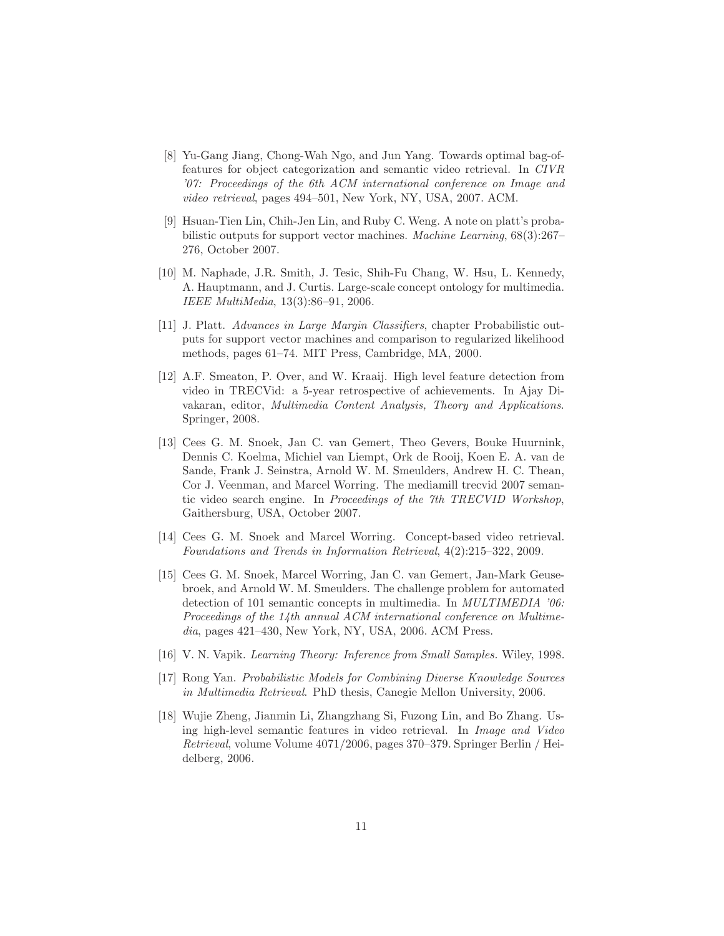- [8] Yu-Gang Jiang, Chong-Wah Ngo, and Jun Yang. Towards optimal bag-offeatures for object categorization and semantic video retrieval. In *CIVR '07: Proceedings of the 6th ACM international conference on Image and video retrieval*, pages 494–501, New York, NY, USA, 2007. ACM.
- [9] Hsuan-Tien Lin, Chih-Jen Lin, and Ruby C. Weng. A note on platt's probabilistic outputs for support vector machines. *Machine Learning*, 68(3):267– 276, October 2007.
- [10] M. Naphade, J.R. Smith, J. Tesic, Shih-Fu Chang, W. Hsu, L. Kennedy, A. Hauptmann, and J. Curtis. Large-scale concept ontology for multimedia. *IEEE MultiMedia*, 13(3):86–91, 2006.
- [11] J. Platt. *Advances in Large Margin Classifiers*, chapter Probabilistic outputs for support vector machines and comparison to regularized likelihood methods, pages 61–74. MIT Press, Cambridge, MA, 2000.
- [12] A.F. Smeaton, P. Over, and W. Kraaij. High level feature detection from video in TRECVid: a 5-year retrospective of achievements. In Ajay Divakaran, editor, *Multimedia Content Analysis, Theory and Applications*. Springer, 2008.
- [13] Cees G. M. Snoek, Jan C. van Gemert, Theo Gevers, Bouke Huurnink, Dennis C. Koelma, Michiel van Liempt, Ork de Rooij, Koen E. A. van de Sande, Frank J. Seinstra, Arnold W. M. Smeulders, Andrew H. C. Thean, Cor J. Veenman, and Marcel Worring. The mediamill trecvid 2007 semantic video search engine. In *Proceedings of the 7th TRECVID Workshop*, Gaithersburg, USA, October 2007.
- [14] Cees G. M. Snoek and Marcel Worring. Concept-based video retrieval. *Foundations and Trends in Information Retrieval*, 4(2):215–322, 2009.
- [15] Cees G. M. Snoek, Marcel Worring, Jan C. van Gemert, Jan-Mark Geusebroek, and Arnold W. M. Smeulders. The challenge problem for automated detection of 101 semantic concepts in multimedia. In *MULTIMEDIA '06: Proceedings of the 14th annual ACM international conference on Multimedia*, pages 421–430, New York, NY, USA, 2006. ACM Press.
- [16] V. N. Vapik. *Learning Theory: Inference from Small Samples.* Wiley, 1998.
- [17] Rong Yan. *Probabilistic Models for Combining Diverse Knowledge Sources in Multimedia Retrieval*. PhD thesis, Canegie Mellon University, 2006.
- [18] Wujie Zheng, Jianmin Li, Zhangzhang Si, Fuzong Lin, and Bo Zhang. Using high-level semantic features in video retrieval. In *Image and Video Retrieval*, volume Volume 4071/2006, pages 370–379. Springer Berlin / Heidelberg, 2006.